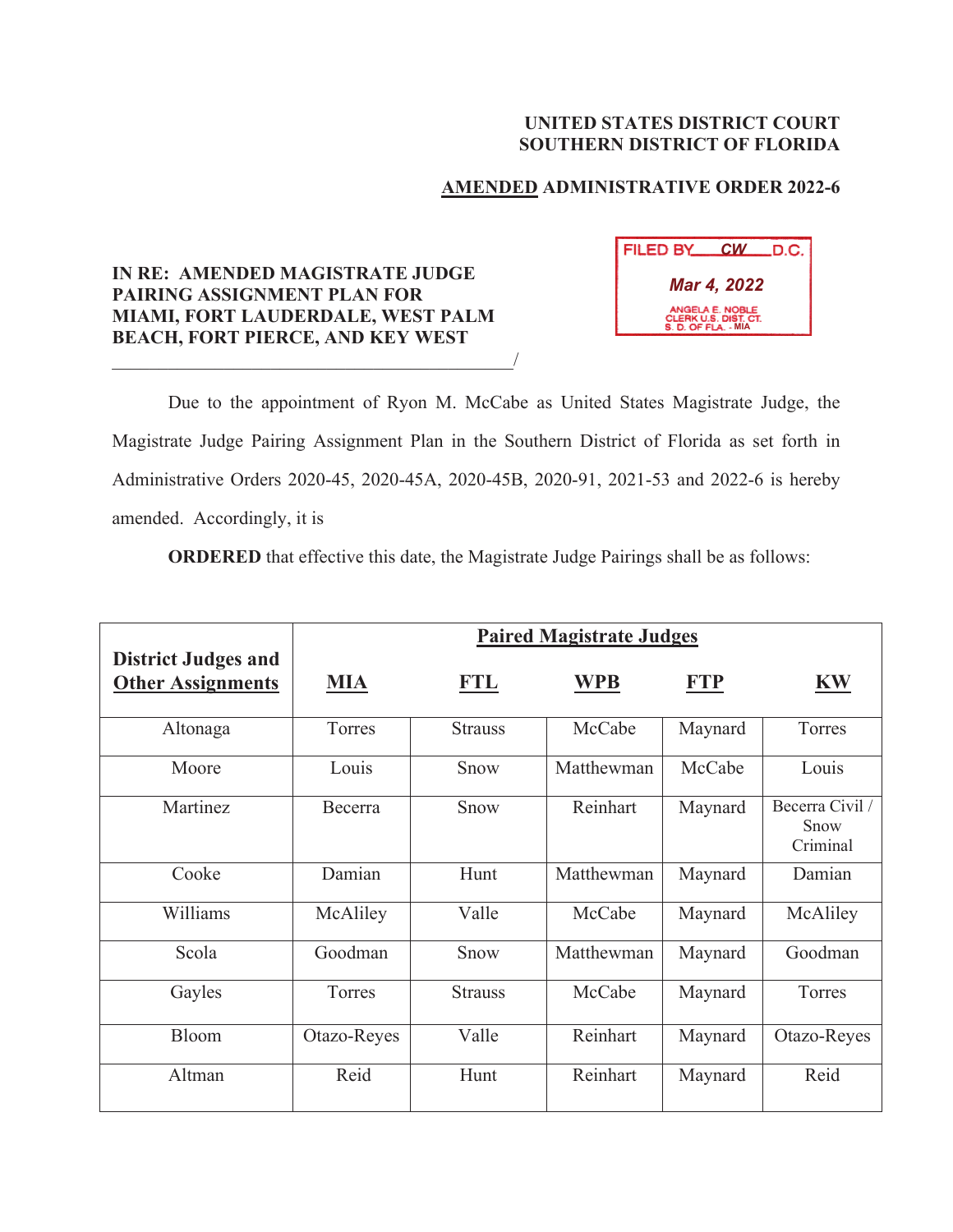## **UNITED STATES DISTRICT COURT SOUTHERN DISTRICT OF FLORIDA**

## **AMENDED ADMINISTRATIVE ORDER 2022-6**

## **IN RE: AMENDED MAGISTRATE JUDGE PAIRING ASSIGNMENT PLAN FOR MIAMI, FORT LAUDERDALE, WEST PALM BEACH, FORT PIERCE, AND KEY WEST**

 $\overline{\phantom{a}}$ 

| FILED BY                                                       | <b>CW</b> | LD.C. |  |  |  |  |
|----------------------------------------------------------------|-----------|-------|--|--|--|--|
| Mar 4, 2022                                                    |           |       |  |  |  |  |
| ANGELA E. NOBLE<br>CLERK U.S. DIST. CT.<br>S. D. OF FLA. - MIA |           |       |  |  |  |  |

Due to the appointment of Ryon M. McCabe as United States Magistrate Judge, the Magistrate Judge Pairing Assignment Plan in the Southern District of Florida as set forth in Administrative Orders 2020-45, 2020-45A, 2020-45B, 2020-91, 2021-53 and 2022-6 is hereby amended. Accordingly, it is

**ORDERED** that effective this date, the Magistrate Judge Pairings shall be as follows:

|                                                        | <b>Paired Magistrate Judges</b> |                |            |         |                                     |
|--------------------------------------------------------|---------------------------------|----------------|------------|---------|-------------------------------------|
| <b>District Judges and</b><br><b>Other Assignments</b> | <b>MIA</b>                      | <b>FTL</b>     | <b>WPB</b> | FTP     | <b>KW</b>                           |
| Altonaga                                               | Torres                          | <b>Strauss</b> | McCabe     | Maynard | Torres                              |
| Moore                                                  | Louis                           | Snow           | Matthewman | McCabe  | Louis                               |
| Martinez                                               | Becerra                         | Snow           | Reinhart   | Maynard | Becerra Civil /<br>Snow<br>Criminal |
| Cooke                                                  | Damian                          | Hunt           | Matthewman | Maynard | Damian                              |
| Williams                                               | McAliley                        | Valle          | McCabe     | Maynard | McAliley                            |
| Scola                                                  | Goodman                         | Snow           | Matthewman | Maynard | Goodman                             |
| Gayles                                                 | Torres                          | <b>Strauss</b> | McCabe     | Maynard | Torres                              |
| Bloom                                                  | Otazo-Reyes                     | Valle          | Reinhart   | Maynard | Otazo-Reyes                         |
| Altman                                                 | Reid                            | Hunt           | Reinhart   | Maynard | Reid                                |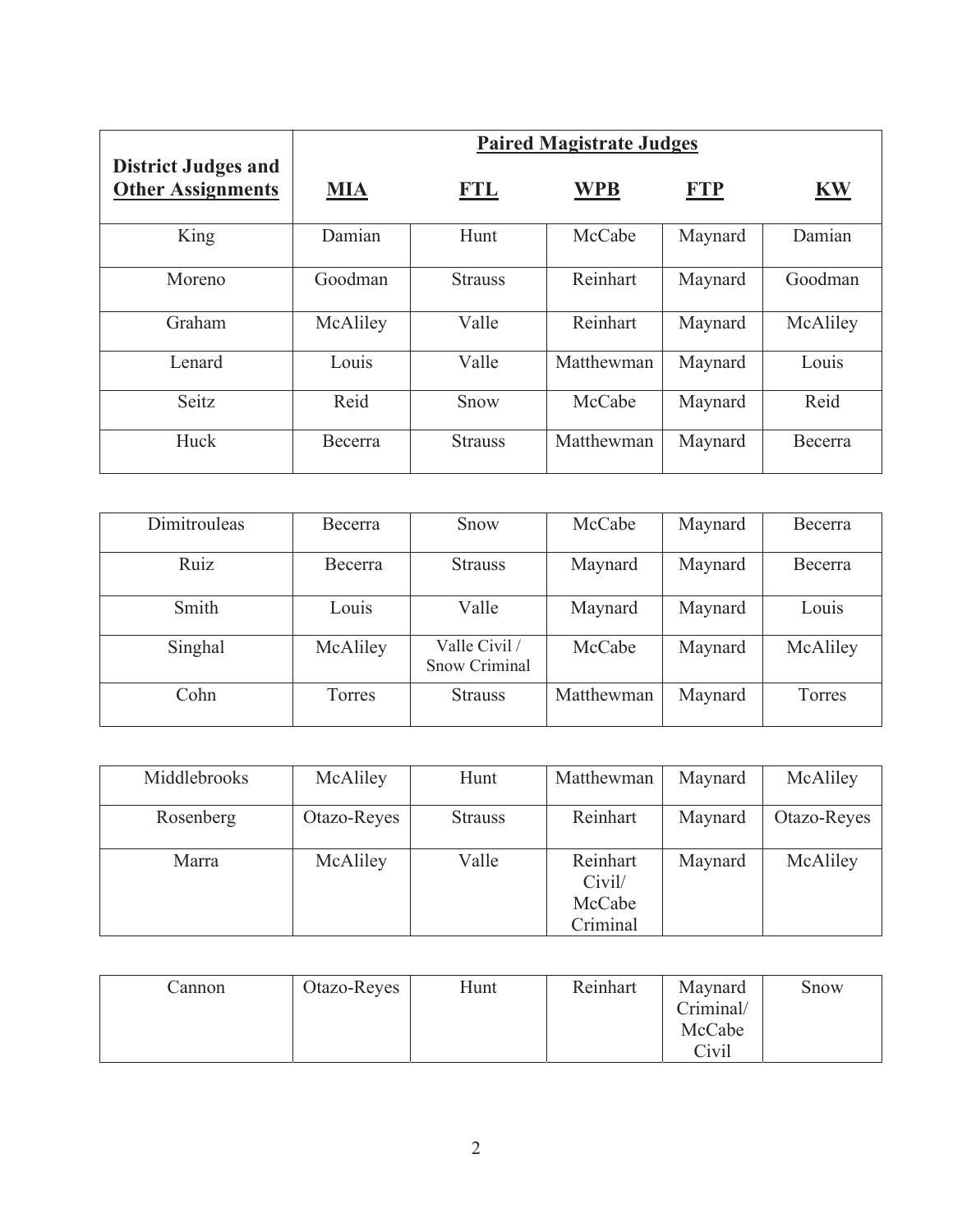|                                                        | <b>Paired Magistrate Judges</b> |                |            |            |           |
|--------------------------------------------------------|---------------------------------|----------------|------------|------------|-----------|
| <b>District Judges and</b><br><b>Other Assignments</b> | <b>MIA</b>                      | <b>FTL</b>     | <b>WPB</b> | <b>FTP</b> | <u>KW</u> |
| King                                                   | Damian                          | Hunt           | McCabe     | Maynard    | Damian    |
| Moreno                                                 | Goodman                         | <b>Strauss</b> | Reinhart   | Maynard    | Goodman   |
| Graham                                                 | McAliley                        | Valle          | Reinhart   | Maynard    | McAliley  |
| Lenard                                                 | Louis                           | Valle          | Matthewman | Maynard    | Louis     |
| Seitz                                                  | Reid                            | Snow           | McCabe     | Maynard    | Reid      |
| Huck                                                   | Becerra                         | <b>Strauss</b> | Matthewman | Maynard    | Becerra   |

| Dimitrouleas | Becerra        | Snow                           | McCabe     | Maynard | Becerra  |
|--------------|----------------|--------------------------------|------------|---------|----------|
| Ruiz         | <b>Becerra</b> | <b>Strauss</b>                 | Maynard    | Maynard | Becerra  |
| Smith        | Louis          | Valle                          | Maynard    | Maynard | Louis    |
| Singhal      | McAliley       | Valle Civil /<br>Snow Criminal | McCabe     | Maynard | McAliley |
| Cohn         | Torres         | <b>Strauss</b>                 | Matthewman | Maynard | Torres   |

| Middlebrooks | McAliley    | Hunt           | Matthewman                   | Maynard | McAliley    |
|--------------|-------------|----------------|------------------------------|---------|-------------|
| Rosenberg    | Otazo-Reyes | <b>Strauss</b> | Reinhart                     | Maynard | Otazo-Reyes |
| Marra        | McAliley    | Valle          | Reinhart<br>Civil/<br>McCabe | Maynard | McAliley    |
|              |             |                | Criminal                     |         |             |

| annon . | Otazo-Reyes | Hunt | Reinhart | Maynard   | Snow |
|---------|-------------|------|----------|-----------|------|
|         |             |      |          | Criminal/ |      |
|         |             |      |          | McCabe    |      |
|         |             |      |          | Civil     |      |